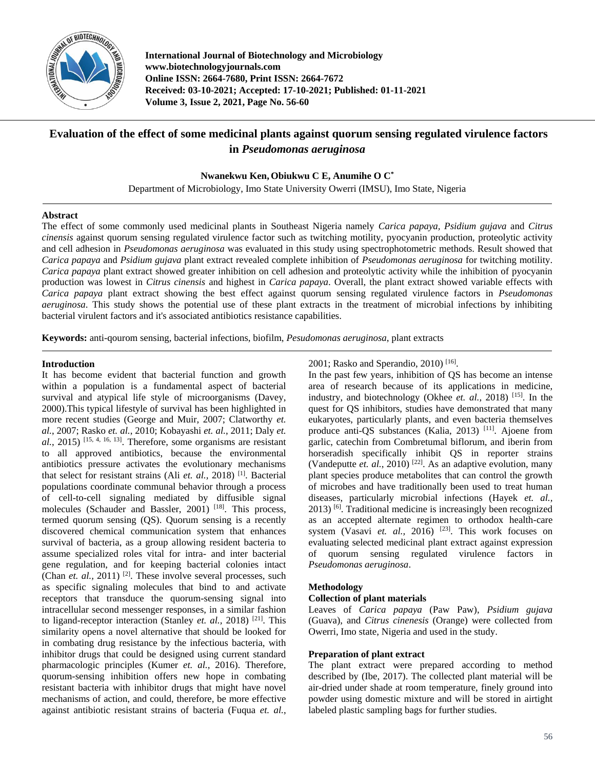

**International Journal of Biotechnology and Microbiology www.biotechnologyjournals.com Online ISSN: 2664-7680, Print ISSN: 2664-7672 Received: 03-10-2021; Accepted: 17-10-2021; Published: 01-11-2021 Volume 3, Issue 2, 2021, Page No. 56-60**

# **Evaluation of the effect of some medicinal plants against quorum sensing regulated virulence factors in** *Pseudomonas aeruginosa*

**Nwanekwu Ken, Obiukwu C E, Anumihe O C\***

Department of Microbiology, Imo State University Owerri (IMSU), Imo State, Nigeria

### **Abstract**

The effect of some commonly used medicinal plants in Southeast Nigeria namely *Carica papaya, Psidium gujava* and *Citrus cinensis* against quorum sensing regulated virulence factor such as twitching motility, pyocyanin production, proteolytic activity and cell adhesion in *Pseudomonas aeruginosa* was evaluated in this study using spectrophotometric methods. Result showed that *Carica papaya* and *Psidium gujava* plant extract revealed complete inhibition of *Pseudomonas aeruginosa* for twitching motility. *Carica papaya* plant extract showed greater inhibition on cell adhesion and proteolytic activity while the inhibition of pyocyanin production was lowest in *Citrus cinensis* and highest in *Carica papaya*. Overall, the plant extract showed variable effects with *Carica papaya* plant extract showing the best effect against quorum sensing regulated virulence factors in *Pseudomonas aeruginosa*. This study shows the potential use of these plant extracts in the treatment of microbial infections by inhibiting bacterial virulent factors and it's associated antibiotics resistance capabilities.

**Keywords:** anti-qourom sensing, bacterial infections, biofilm, *Pesudomonas aeruginosa*, plant extracts

### **Introduction**

It has become evident that bacterial function and growth within a population is a fundamental aspect of bacterial survival and atypical life style of microorganisms (Davey, 2000).This typical lifestyle of survival has been highlighted in more recent studies (George and Muir, 2007; Clatworthy *et. al.*, 2007; Rasko *et. al.*, 2010; Kobayashi *et. al.*, 2011; Daly *et.*   $al$ , 2015)<sup>[15, 4, 16, 13]. Therefore, some organisms are resistant</sup> to all approved antibiotics, because the environmental antibiotics pressure activates the evolutionary mechanisms that select for resistant strains (Ali *et. al.,* 2018) [1] . Bacterial populations coordinate communal behavior through a process of cell-to-cell signaling mediated by diffusible signal molecules (Schauder and Bassler, 2001)<sup>[18]</sup>. This process, termed quorum sensing (QS). Quorum sensing is a recently discovered chemical communication system that enhances survival of bacteria, as a group allowing resident bacteria to assume specialized roles vital for intra- and inter bacterial gene regulation, and for keeping bacterial colonies intact (Chan *et. al.,* 2011)<sup>[2]</sup>. These involve several processes, such as specific signaling molecules that bind to and activate receptors that transduce the quorum-sensing signal into intracellular second messenger responses, in a similar fashion to ligand-receptor interaction (Stanley *et. al.,* 2018) [21] . This similarity opens a novel alternative that should be looked for in combating drug resistance by the infectious bacteria, with inhibitor drugs that could be designed using current standard pharmacologic principles (Kumer *et. al.,* 2016). Therefore, quorum-sensing inhibition offers new hope in combating resistant bacteria with inhibitor drugs that might have novel mechanisms of action, and could, therefore, be more effective against antibiotic resistant strains of bacteria (Fuqua *et. al.*, 2001; Rasko and Sperandio, 2010)<sup>[16]</sup>.

In the past few years, inhibition of QS has become an intense area of research because of its applications in medicine, industry, and biotechnology (Okhee *et. al.,* 2018) [15] . In the quest for QS inhibitors, studies have demonstrated that many eukaryotes, particularly plants, and even bacteria themselves produce anti-QS substances (Kalia, 2013)<sup>[11]</sup>. Ajoene from garlic, catechin from Combretumal biflorum, and iberin from horseradish specifically inhibit QS in reporter strains (Vandeputte *et. al.*, 2010)<sup>[22]</sup>. As an adaptive evolution, many plant species produce metabolites that can control the growth of microbes and have traditionally been used to treat human diseases, particularly microbial infections (Hayek *et. al.,* 2013) [6] . Traditional medicine is increasingly been recognized as an accepted alternate regimen to orthodox health-care system (Vasavi et. al., 2016)<sup>[23]</sup>. This work focuses on evaluating selected medicinal plant extract against expression of quorum sensing regulated virulence factors in *Pseudomonas aeruginosa*.

# **Methodology**

# **Collection of plant materials**

Leaves of *Carica papaya* (Paw Paw), *Psidium gujava*  (Guava), and *Citrus cinenesis* (Orange) were collected from Owerri, Imo state, Nigeria and used in the study.

# **Preparation of plant extract**

The plant extract were prepared according to method described by (Ibe, 2017). The collected plant material will be air-dried under shade at room temperature, finely ground into powder using domestic mixture and will be stored in airtight labeled plastic sampling bags for further studies.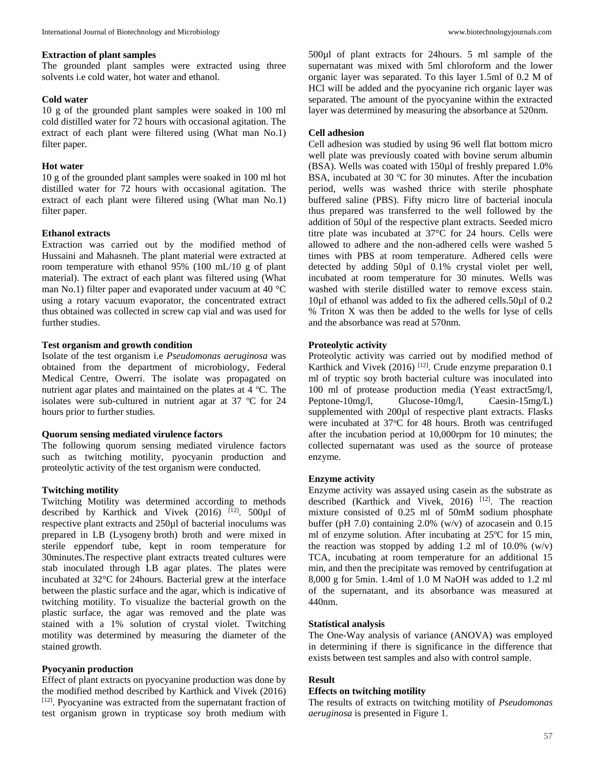#### **Extraction of plant samples**

The grounded plant samples were extracted using three solvents i.e cold water, hot water and ethanol.

#### **Cold water**

10 g of the grounded plant samples were soaked in 100 ml cold distilled water for 72 hours with occasional agitation. The extract of each plant were filtered using (What man No.1) filter paper.

#### **Hot water**

10 g of the grounded plant samples were soaked in 100 ml hot distilled water for 72 hours with occasional agitation. The extract of each plant were filtered using (What man No.1) filter paper.

#### **Ethanol extracts**

Extraction was carried out by the modified method of Hussaini and Mahasneh. The plant material were extracted at room temperature with ethanol 95% (100 mL/10 g of plant material). The extract of each plant was filtered using (What man No.1) filter paper and evaporated under vacuum at 40 °C using a rotary vacuum evaporator, the concentrated extract thus obtained was collected in screw cap vial and was used for further studies.

#### **Test organism and growth condition**

Isolate of the test organism i.e *Pseudomonas aeruginosa* was obtained from the department of microbiology, Federal Medical Centre, Owerri. The isolate was propagated on nutrient agar plates and maintained on the plates at 4 °C. The isolates were sub-cultured in nutrient agar at  $37 °C$  for  $24$ hours prior to further studies.

#### **Quorum sensing mediated virulence factors**

The following quorum sensing mediated virulence factors such as twitching motility, pyocyanin production and proteolytic activity of the test organism were conducted.

### **Twitching motility**

Twitching Motility was determined according to methods described by Karthick and Vivek  $(2016)$ <sup>[12]</sup>. 500 $\mu$ l of respective plant extracts and 250µl of bacterial inoculums was prepared in LB (Lysogeny broth) broth and were mixed in sterile eppendorf tube, kept in room temperature for 30minutes.The respective plant extracts treated cultures were stab inoculated through LB agar plates. The plates were incubated at 32°C for 24hours. Bacterial grew at the interface between the plastic surface and the agar, which is indicative of twitching motility. To visualize the bacterial growth on the plastic surface, the agar was removed and the plate was stained with a 1% solution of crystal violet. Twitching motility was determined by measuring the diameter of the stained growth.

#### **Pyocyanin production**

Effect of plant extracts on pyocyanine production was done by the modified method described by Karthick and Vivek (2016) [12]. Pyocyanine was extracted from the supernatant fraction of test organism grown in trypticase soy broth medium with 500µl of plant extracts for 24hours. 5 ml sample of the supernatant was mixed with 5ml chloroform and the lower organic layer was separated. To this layer 1.5ml of 0.2 M of HCl will be added and the pyocyanine rich organic layer was separated. The amount of the pyocyanine within the extracted layer was determined by measuring the absorbance at 520nm.

#### **Cell adhesion**

Cell adhesion was studied by using 96 well flat bottom micro well plate was previously coated with bovine serum albumin (BSA). Wells was coated with 150µl of freshly prepared 1.0% BSA, incubated at 30  $\degree$ C for 30 minutes. After the incubation period, wells was washed thrice with sterile phosphate buffered saline (PBS). Fifty micro litre of bacterial inocula thus prepared was transferred to the well followed by the addition of 50µl of the respective plant extracts. Seeded micro titre plate was incubated at 37°C for 24 hours. Cells were allowed to adhere and the non-adhered cells were washed 5 times with PBS at room temperature. Adhered cells were detected by adding 50µl of 0.1% crystal violet per well, incubated at room temperature for 30 minutes. Wells was washed with sterile distilled water to remove excess stain. 10µl of ethanol was added to fix the adhered cells.50µl of 0.2 % Triton X was then be added to the wells for lyse of cells and the absorbance was read at 570nm.

#### **Proteolytic activity**

Proteolytic activity was carried out by modified method of Karthick and Vivek (2016)<sup>[12]</sup>. Crude enzyme preparation  $0.1$ ml of tryptic soy broth bacterial culture was inoculated into 100 ml of protease production media (Yeast extract5mg/l, Peptone-10mg/l, Glucose-10mg/l, Caesin-15mg/L) supplemented with 200µl of respective plant extracts. Flasks were incubated at  $37^{\circ}$ C for 48 hours. Broth was centrifuged after the incubation period at 10,000rpm for 10 minutes; the collected supernatant was used as the source of protease enzyme.

#### **Enzyme activity**

Enzyme activity was assayed using casein as the substrate as described (Karthick and Vivek, 2016)<sup>[12]</sup>. The reaction mixture consisted of 0.25 ml of 50mM sodium phosphate buffer (pH 7.0) containing 2.0% (w/v) of azocasein and 0.15 ml of enzyme solution. After incubating at 25ºC for 15 min, the reaction was stopped by adding 1.2 ml of 10.0%  $(w/v)$ TCA, incubating at room temperature for an additional 15 min, and then the precipitate was removed by centrifugation at 8,000 g for 5min. 1.4ml of 1.0 M NaOH was added to 1.2 ml of the supernatant, and its absorbance was measured at 440nm.

#### **Statistical analysis**

The One-Way analysis of variance (ANOVA) was employed in determining if there is significance in the difference that exists between test samples and also with control sample.

### **Result**

#### **Effects on twitching motility**

The results of extracts on twitching motility of *Pseudomonas aeruginosa* is presented in Figure 1.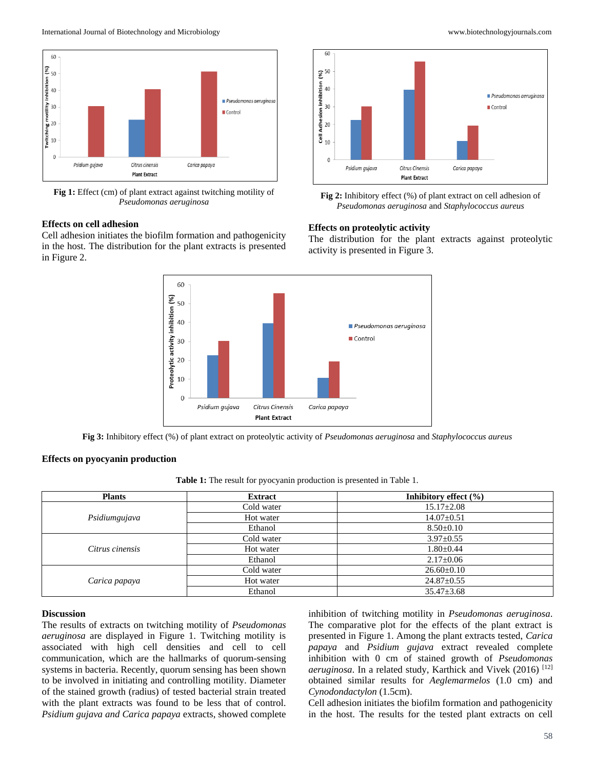

**Fig 1:** Effect (cm) of plant extract against twitching motility of *Pseudomonas aeruginosa*

# **Effects on cell adhesion**

Cell adhesion initiates the biofilm formation and pathogenicity in the host. The distribution for the plant extracts is presented in Figure 2.



**Fig 2:** Inhibitory effect (%) of plant extract on cell adhesion of *Pseudomonas aeruginosa* and *Staphylococcus aureus*

### **Effects on proteolytic activity**

The distribution for the plant extracts against proteolytic activity is presented in Figure 3.



**Fig 3:** Inhibitory effect (%) of plant extract on proteolytic activity of *Pseudomonas aeruginosa* and *Staphylococcus aureus*

#### **Effects on pyocyanin production**

**Table 1:** The result for pyocyanin production is presented in Table 1.

| <b>Plants</b>   | <b>Extract</b> | Inhibitory effect (%) |
|-----------------|----------------|-----------------------|
| Psidiumgujava   | Cold water     | $15.17 \pm 2.08$      |
|                 | Hot water      | $14.07 \pm 0.51$      |
|                 | Ethanol        | $8.50 \pm 0.10$       |
| Citrus cinensis | Cold water     | $3.97 \pm 0.55$       |
|                 | Hot water      | $1.80 \pm 0.44$       |
|                 | Ethanol        | $2.17 \pm 0.06$       |
| Carica papaya   | Cold water     | $26.60 \pm 0.10$      |
|                 | Hot water      | $24.87 \pm 0.55$      |
|                 | Ethanol        | $35.47 \pm 3.68$      |

### **Discussion**

The results of extracts on twitching motility of *Pseudomonas aeruginosa* are displayed in Figure 1. Twitching motility is associated with high cell densities and cell to cell communication, which are the hallmarks of quorum-sensing systems in bacteria. Recently, quorum sensing has been shown to be involved in initiating and controlling motility. Diameter of the stained growth (radius) of tested bacterial strain treated with the plant extracts was found to be less that of control. *Psidium gujava and Carica papaya* extracts, showed complete inhibition of twitching motility in *Pseudomonas aeruginosa*. The comparative plot for the effects of the plant extract is presented in Figure 1. Among the plant extracts tested, *Carica papaya* and *Psidium gujava* extract revealed complete inhibition with 0 cm of stained growth of *Pseudomonas aeruginosa*. In a related study, Karthick and Vivek (2016) [12] obtained similar results for *Aeglemarmelos* (1.0 cm) and *Cynodondactylon* (1.5cm).

Cell adhesion initiates the biofilm formation and pathogenicity in the host. The results for the tested plant extracts on cell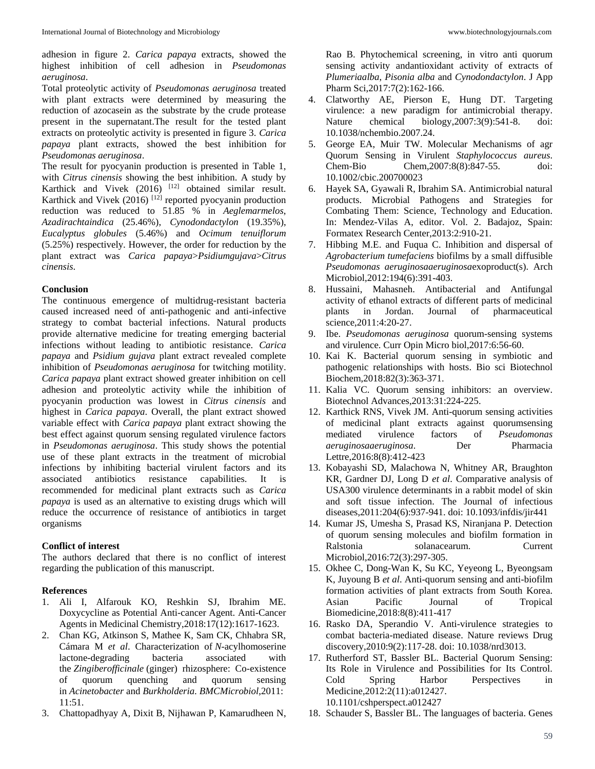adhesion in figure 2. *Carica papaya* extracts, showed the highest inhibition of cell adhesion in *Pseudomonas aeruginosa*.

Total proteolytic activity of *Pseudomonas aeruginosa* treated with plant extracts were determined by measuring the reduction of azocasein as the substrate by the crude protease present in the supernatant.The result for the tested plant extracts on proteolytic activity is presented in figure 3. *Carica papaya* plant extracts, showed the best inhibition for *Pseudomonas aeruginosa*.

The result for pyocyanin production is presented in Table 1, with *Citrus cinensis* showing the best inhibition. A study by Karthick and Vivek (2016) <sup>[12]</sup> obtained similar result. Karthick and Vivek  $(2016)$ <sup>[12]</sup> reported pyocyanin production reduction was reduced to 51.85 % in *Aeglemarmelos*, *Azadirachtaindica* (25.46%), *Cynodondactylon* (19.35%), *Eucalyptus globules* (5.46%) and *Ocimum tenuiflorum*  (5.25%) respectively. However, the order for reduction by the plant extract was *Carica papaya*>*Psidiumgujava*>*Citrus cinensis*.

### **Conclusion**

The continuous emergence of multidrug-resistant bacteria caused increased need of anti-pathogenic and anti-infective strategy to combat bacterial infections. Natural products provide alternative medicine for treating emerging bacterial infections without leading to antibiotic resistance. *Carica papaya* and *Psidium gujava* plant extract revealed complete inhibition of *Pseudomonas aeruginosa* for twitching motility. *Carica papaya* plant extract showed greater inhibition on cell adhesion and proteolytic activity while the inhibition of pyocyanin production was lowest in *Citrus cinensis* and highest in *Carica papaya*. Overall, the plant extract showed variable effect with *Carica papaya* plant extract showing the best effect against quorum sensing regulated virulence factors in *Pseudomonas aeruginosa*. This study shows the potential use of these plant extracts in the treatment of microbial infections by inhibiting bacterial virulent factors and its associated antibiotics resistance capabilities. It is recommended for medicinal plant extracts such as *Carica papaya* is used as an alternative to existing drugs which will reduce the occurrence of resistance of antibiotics in target organisms

# **Conflict of interest**

The authors declared that there is no conflict of interest regarding the publication of this manuscript.

# **References**

- 1. Ali I, Alfarouk KO, Reshkin SJ, Ibrahim ME. Doxycycline as Potential Anti-cancer Agent. Anti-Cancer Agents in Medicinal Chemistry,2018:17(12):1617-1623.
- 2. Chan KG, Atkinson S, Mathee K, Sam CK, Chhabra SR, Cámara M *et al*. Characterization of *N*-acylhomoserine lactone-degrading bacteria associated with the *Zingiberofficinale* (ginger) rhizosphere: Co-existence of quorum quenching and quorum sensing in *Acinetobacter* and *Burkholderia*. *BMCMicrobiol*,2011: 11:51.
- 3. Chattopadhyay A, Dixit B, Nijhawan P, Kamarudheen N,

Rao B. Phytochemical screening, in vitro anti quorum sensing activity andantioxidant activity of extracts of *Plumeriaalba*, *Pisonia alba* and *Cynodondactylon*. J App Pharm Sci,2017:7(2):162-166.

- 4. Clatworthy AE, Pierson E, Hung DT. Targeting virulence: a new paradigm for antimicrobial therapy. Nature chemical biology,2007:3(9):541-8. doi: 10.1038/nchembio.2007.24.
- 5. George EA, Muir TW. Molecular Mechanisms of agr Quorum Sensing in Virulent *Staphylococcus aureus*. Chem-Bio Chem,2007:8(8):847-55. doi: 10.1002/cbic.200700023
- 6. Hayek SA, Gyawali R, Ibrahim SA. Antimicrobial natural products. Microbial Pathogens and Strategies for Combating Them: Science, Technology and Education. In: Mendez-Vilas A, editor. Vol. 2. Badajoz, Spain: Formatex Research Center,2013:2:910-21.
- 7. Hibbing M.E. and Fuqua C. Inhibition and dispersal of *Agrobacterium tumefaciens* biofilms by a small diffusible *Pseudomonas aeruginosaaeruginosa*exoproduct(s). Arch Microbiol,2012:194(6):391-403.
- 8. Hussaini, Mahasneh. Antibacterial and Antifungal activity of ethanol extracts of different parts of medicinal plants in Jordan. Journal of pharmaceutical science,2011:4:20-27.
- 9. Ibe. *Pseudomonas aeruginosa* quorum-sensing systems and virulence. Curr Opin Micro biol,2017:6:56-60.
- 10. Kai K. Bacterial quorum sensing in symbiotic and pathogenic relationships with hosts. Bio sci Biotechnol Biochem,2018:82(3):363-371.
- 11. Kalia VC. Quorum sensing inhibitors: an overview. Biotechnol Advances,2013:31:224-225.
- 12. Karthick RNS, Vivek JM. Anti-quorum sensing activities of medicinal plant extracts against quorumsensing mediated virulence factors of *Pseudomonas aeruginosaaeruginosa*. Der Pharmacia Lettre,2016:8(8):412-423
- 13. Kobayashi SD, Malachowa N, Whitney AR, Braughton KR, Gardner DJ, Long D *et al*. Comparative analysis of USA300 virulence determinants in a rabbit model of skin and soft tissue infection. The Journal of infectious diseases,2011:204(6):937-941. doi: 10.1093/infdis/jir441
- 14. Kumar JS, Umesha S, Prasad KS, Niranjana P. Detection of quorum sensing molecules and biofilm formation in Ralstonia solanacearum. Current Microbiol,2016:72(3):297-305.
- 15. Okhee C, Dong-Wan K, Su KC, Yeyeong L, Byeongsam K, Juyoung B *et al*. Anti-quorum sensing and anti-biofilm formation activities of plant extracts from South Korea. Asian Pacific Journal of Tropical Biomedicine,2018:8(8):411-417
- 16. Rasko DA, Sperandio V. Anti-virulence strategies to combat bacteria-mediated disease. Nature reviews Drug discovery,2010:9(2):117-28. doi: 10.1038/nrd3013.
- 17. Rutherford ST, Bassler BL. Bacterial Quorum Sensing: Its Role in Virulence and Possibilities for Its Control. Cold Spring Harbor Perspectives in Medicine,2012:2(11):a012427. 10.1101/cshperspect.a012427
- 18. Schauder S, Bassler BL. The languages of bacteria. Genes